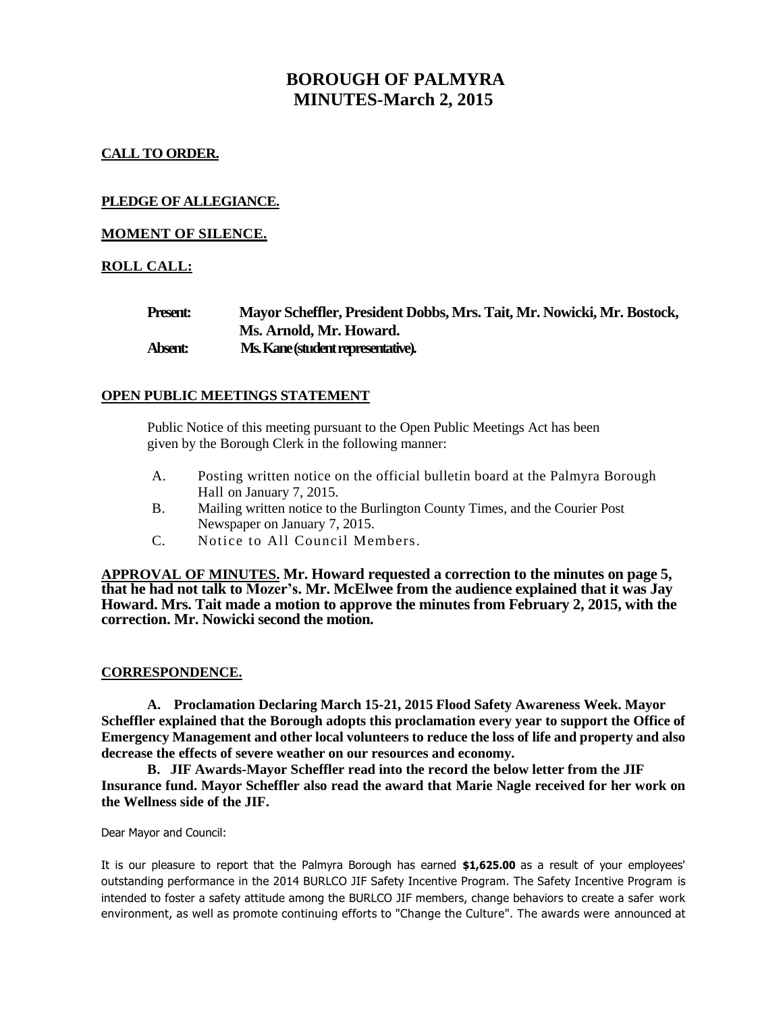# **BOROUGH OF PALMYRA MINUTES-March 2, 2015**

## **CALL TO ORDER.**

## **PLEDGE OF ALLEGIANCE.**

## **MOMENT OF SILENCE.**

## **ROLL CALL:**

| <b>Present:</b> | Mayor Scheffler, President Dobbs, Mrs. Tait, Mr. Nowicki, Mr. Bostock, |
|-----------------|------------------------------------------------------------------------|
|                 | Ms. Arnold, Mr. Howard.                                                |
| Absent:         | Ms. Kane (student representative).                                     |

## **OPEN PUBLIC MEETINGS STATEMENT**

Public Notice of this meeting pursuant to the Open Public Meetings Act has been given by the Borough Clerk in the following manner:

- A. Posting written notice on the official bulletin board at the Palmyra Borough Hall on January 7, 2015.
- B. Mailing written notice to the Burlington County Times, and the Courier Post Newspaper on January 7, 2015.
- C. Notice to All Council Members.

**APPROVAL OF MINUTES. Mr. Howard requested a correction to the minutes on page 5, that he had not talk to Mozer's. Mr. McElwee from the audience explained that it was Jay Howard. Mrs. Tait made a motion to approve the minutes from February 2, 2015, with the correction. Mr. Nowicki second the motion.** 

#### **CORRESPONDENCE.**

**A. Proclamation Declaring March 15-21, 2015 Flood Safety Awareness Week. Mayor Scheffler explained that the Borough adopts this proclamation every year to support the Office of Emergency Management and other local volunteers to reduce the loss of life and property and also decrease the effects of severe weather on our resources and economy.**

**B. JIF Awards-Mayor Scheffler read into the record the below letter from the JIF Insurance fund. Mayor Scheffler also read the award that Marie Nagle received for her work on the Wellness side of the JIF.**

Dear Mayor and Council:

It is our pleasure to report that the Palmyra Borough has earned **\$1,625.00** as a result of your employees' outstanding performance in the 2014 BURLCO JIF Safety Incentive Program. The Safety Incentive Program is intended to foster a safety attitude among the BURLCO JIF members, change behaviors to create a safer work environment, as well as promote continuing efforts to "Change the Culture". The awards were announced at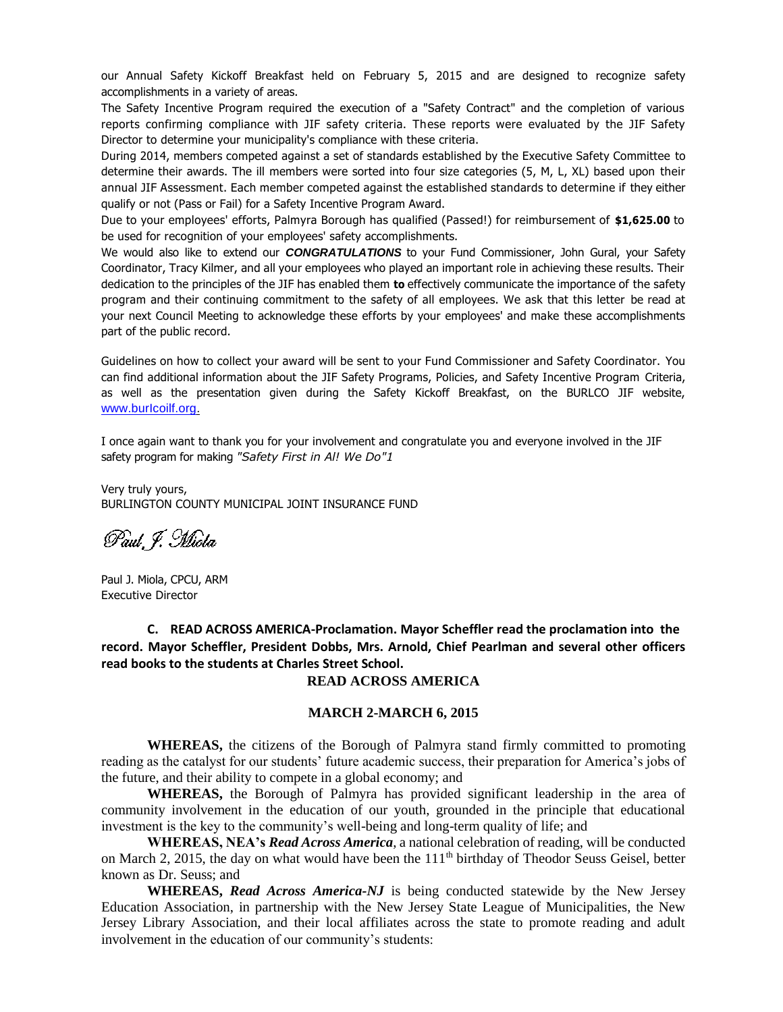our Annual Safety Kickoff Breakfast held on February 5, 2015 and are designed to recognize safety accomplishments in a variety of areas.

The Safety Incentive Program required the execution of a "Safety Contract" and the completion of various reports confirming compliance with JIF safety criteria. These reports were evaluated by the JIF Safety Director to determine your municipality's compliance with these criteria.

During 2014, members competed against a set of standards established by the Executive Safety Committee to determine their awards. The ill members were sorted into four size categories (5, M, L, XL) based upon their annual JIF Assessment. Each member competed against the established standards to determine if they either qualify or not (Pass or Fail) for a Safety Incentive Program Award.

Due to your employees' efforts, Palmyra Borough has qualified (Passed!) for reimbursement of **\$1,625.00** to be used for recognition of your employees' safety accomplishments.

We would also like to extend our *CONGRATULATIONS* to your Fund Commissioner, John Gural, your Safety Coordinator, Tracy Kilmer, and all your employees who played an important role in achieving these results. Their dedication to the principles of the JIF has enabled them **to** effectively communicate the importance of the safety program and their continuing commitment to the safety of all employees. We ask that this letter be read at your next Council Meeting to acknowledge these efforts by your employees' and make these accomplishments part of the public record.

Guidelines on how to collect your award will be sent to your Fund Commissioner and Safety Coordinator. You can find additional information about the JIF Safety Programs, Policies, and Safety Incentive Program Criteria, as well as the presentation given during the Safety Kickoff Breakfast, on the BURLCO JIF website, [www.burIcoilf.org.](http://www.buricoilf.org/)

I once again want to thank you for your involvement and congratulate you and everyone involved in the JIF safety program for making *"Safety First in Al! We Do"1*

Very truly yours, BURLINGTON COUNTY MUNICIPAL JOINT INSURANCE FUND

Paul I. Miola

Paul J. Miola, CPCU, ARM Executive Director

**C. READ ACROSS AMERICA-Proclamation. Mayor Scheffler read the proclamation into the record. Mayor Scheffler, President Dobbs, Mrs. Arnold, Chief Pearlman and several other officers read books to the students at Charles Street School.** 

#### **READ ACROSS AMERICA**

#### **MARCH 2-MARCH 6, 2015**

**WHEREAS,** the citizens of the Borough of Palmyra stand firmly committed to promoting reading as the catalyst for our students' future academic success, their preparation for America's jobs of the future, and their ability to compete in a global economy; and

**WHEREAS,** the Borough of Palmyra has provided significant leadership in the area of community involvement in the education of our youth, grounded in the principle that educational investment is the key to the community's well-being and long-term quality of life; and

**WHEREAS, NEA's** *Read Across America*, a national celebration of reading, will be conducted on March 2, 2015, the day on what would have been the 111<sup>th</sup> birthday of Theodor Seuss Geisel, better known as Dr. Seuss; and

**WHEREAS,** *Read Across America-NJ* is being conducted statewide by the New Jersey Education Association, in partnership with the New Jersey State League of Municipalities, the New Jersey Library Association, and their local affiliates across the state to promote reading and adult involvement in the education of our community's students: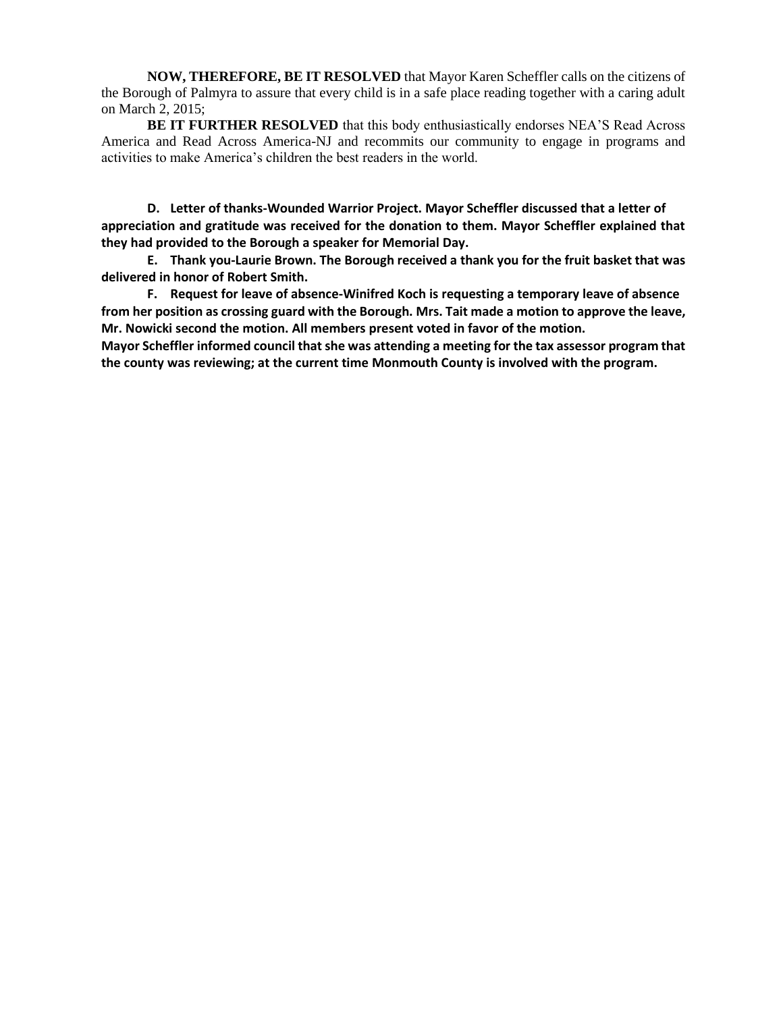**NOW, THEREFORE, BE IT RESOLVED** that Mayor Karen Scheffler calls on the citizens of the Borough of Palmyra to assure that every child is in a safe place reading together with a caring adult on March 2, 2015;

**BE IT FURTHER RESOLVED** that this body enthusiastically endorses NEA'S Read Across America and Read Across America-NJ and recommits our community to engage in programs and activities to make America's children the best readers in the world.

**D. Letter of thanks-Wounded Warrior Project. Mayor Scheffler discussed that a letter of appreciation and gratitude was received for the donation to them. Mayor Scheffler explained that they had provided to the Borough a speaker for Memorial Day.** 

**E. Thank you-Laurie Brown. The Borough received a thank you for the fruit basket that was delivered in honor of Robert Smith.**

**F. Request for leave of absence-Winifred Koch is requesting a temporary leave of absence from her position as crossing guard with the Borough. Mrs. Tait made a motion to approve the leave, Mr. Nowicki second the motion. All members present voted in favor of the motion.**

**Mayor Scheffler informed council that she was attending a meeting for the tax assessor program that the county was reviewing; at the current time Monmouth County is involved with the program.**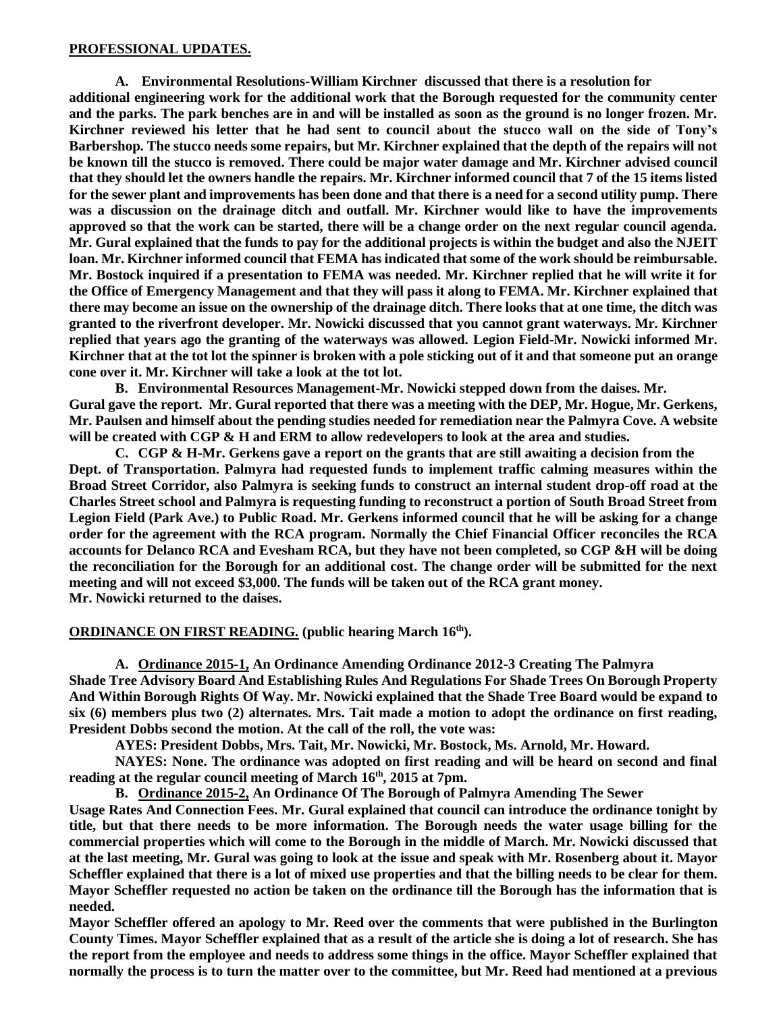#### **PROFESSIONAL UPDATES.**

**A. Environmental Resolutions-William Kirchner discussed that there is a resolution for additional engineering work for the additional work that the Borough requested for the community center and the parks. The park benches are in and will be installed as soon as the ground is no longer frozen. Mr. Kirchner reviewed his letter that he had sent to council about the stucco wall on the side of Tony's Barbershop. The stucco needs some repairs, but Mr. Kirchner explained that the depth of the repairs will not be known till the stucco is removed. There could be major water damage and Mr. Kirchner advised council that they should let the owners handle the repairs. Mr. Kirchner informed council that 7 of the 15 items listed for the sewer plant and improvements has been done and that there is a need for a second utility pump. There was a discussion on the drainage ditch and outfall. Mr. Kirchner would like to have the improvements approved so that the work can be started, there will be a change order on the next regular council agenda. Mr. Gural explained that the funds to pay for the additional projects is within the budget and also the NJEIT loan. Mr. Kirchner informed council that FEMA has indicated that some of the work should be reimbursable. Mr. Bostock inquired if a presentation to FEMA was needed. Mr. Kirchner replied that he will write it for the Office of Emergency Management and that they will pass it along to FEMA. Mr. Kirchner explained that there may become an issue on the ownership of the drainage ditch. There looks that at one time, the ditch was granted to the riverfront developer. Mr. Nowicki discussed that you cannot grant waterways. Mr. Kirchner replied that years ago the granting of the waterways was allowed. Legion Field-Mr. Nowicki informed Mr. Kirchner that at the tot lot the spinner is broken with a pole sticking out of it and that someone put an orange cone over it. Mr. Kirchner will take a look at the tot lot.** 

**B. Environmental Resources Management-Mr. Nowicki stepped down from the daises. Mr. Gural gave the report. Mr. Gural reported that there was a meeting with the DEP, Mr. Hogue, Mr. Gerkens, Mr. Paulsen and himself about the pending studies needed for remediation near the Palmyra Cove. A website will be created with CGP & H and ERM to allow redevelopers to look at the area and studies.** 

**C. CGP & H-Mr. Gerkens gave a report on the grants that are still awaiting a decision from the Dept. of Transportation. Palmyra had requested funds to implement traffic calming measures within the Broad Street Corridor, also Palmyra is seeking funds to construct an internal student drop-off road at the Charles Street school and Palmyra is requesting funding to reconstruct a portion of South Broad Street from Legion Field (Park Ave.) to Public Road. Mr. Gerkens informed council that he will be asking for a change order for the agreement with the RCA program. Normally the Chief Financial Officer reconciles the RCA accounts for Delanco RCA and Evesham RCA, but they have not been completed, so CGP &H will be doing the reconciliation for the Borough for an additional cost. The change order will be submitted for the next meeting and will not exceed \$3,000. The funds will be taken out of the RCA grant money. Mr. Nowicki returned to the daises.** 

**ORDINANCE ON FIRST READING. (public hearing March 16th).**

**A. Ordinance 2015-1, An Ordinance Amending Ordinance 2012-3 Creating The Palmyra Shade Tree Advisory Board And Establishing Rules And Regulations For Shade Trees On Borough Property And Within Borough Rights Of Way. Mr. Nowicki explained that the Shade Tree Board would be expand to six (6) members plus two (2) alternates. Mrs. Tait made a motion to adopt the ordinance on first reading, President Dobbs second the motion. At the call of the roll, the vote was:**

**AYES: President Dobbs, Mrs. Tait, Mr. Nowicki, Mr. Bostock, Ms. Arnold, Mr. Howard.**

**NAYES: None. The ordinance was adopted on first reading and will be heard on second and final reading at the regular council meeting of March 16th, 2015 at 7pm.**

**B. Ordinance 2015-2, An Ordinance Of The Borough of Palmyra Amending The Sewer**

**Usage Rates And Connection Fees. Mr. Gural explained that council can introduce the ordinance tonight by title, but that there needs to be more information. The Borough needs the water usage billing for the commercial properties which will come to the Borough in the middle of March. Mr. Nowicki discussed that at the last meeting, Mr. Gural was going to look at the issue and speak with Mr. Rosenberg about it. Mayor Scheffler explained that there is a lot of mixed use properties and that the billing needs to be clear for them. Mayor Scheffler requested no action be taken on the ordinance till the Borough has the information that is needed.** 

**Mayor Scheffler offered an apology to Mr. Reed over the comments that were published in the Burlington County Times. Mayor Scheffler explained that as a result of the article she is doing a lot of research. She has the report from the employee and needs to address some things in the office. Mayor Scheffler explained that normally the process is to turn the matter over to the committee, but Mr. Reed had mentioned at a previous**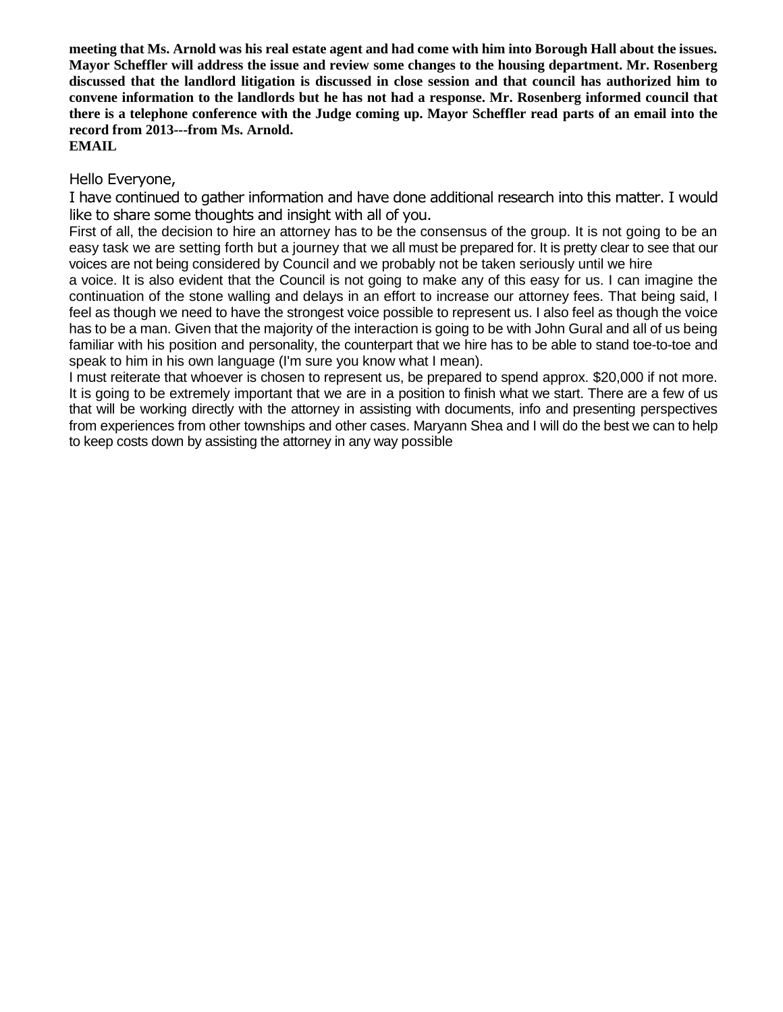**meeting that Ms. Arnold was his real estate agent and had come with him into Borough Hall about the issues. Mayor Scheffler will address the issue and review some changes to the housing department. Mr. Rosenberg discussed that the landlord litigation is discussed in close session and that council has authorized him to convene information to the landlords but he has not had a response. Mr. Rosenberg informed council that there is a telephone conference with the Judge coming up. Mayor Scheffler read parts of an email into the record from 2013---from Ms. Arnold. EMAIL**

Hello Everyone,

I have continued to gather information and have done additional research into this matter. I would like to share some thoughts and insight with all of you.

First of all, the decision to hire an attorney has to be the consensus of the group. It is not going to be an easy task we are setting forth but a journey that we all must be prepared for. It is pretty clear to see that our voices are not being considered by Council and we probably not be taken seriously until we hire

a voice. It is also evident that the Council is not going to make any of this easy for us. I can imagine the continuation of the stone walling and delays in an effort to increase our attorney fees. That being said, I feel as though we need to have the strongest voice possible to represent us. I also feel as though the voice has to be a man. Given that the majority of the interaction is going to be with John Gural and all of us being familiar with his position and personality, the counterpart that we hire has to be able to stand toe-to-toe and speak to him in his own language (I'm sure you know what I mean).

I must reiterate that whoever is chosen to represent us, be prepared to spend approx. \$20,000 if not more. It is going to be extremely important that we are in a position to finish what we start. There are a few of us that will be working directly with the attorney in assisting with documents, info and presenting perspectives from experiences from other townships and other cases. Maryann Shea and I will do the best we can to help to keep costs down by assisting the attorney in any way possible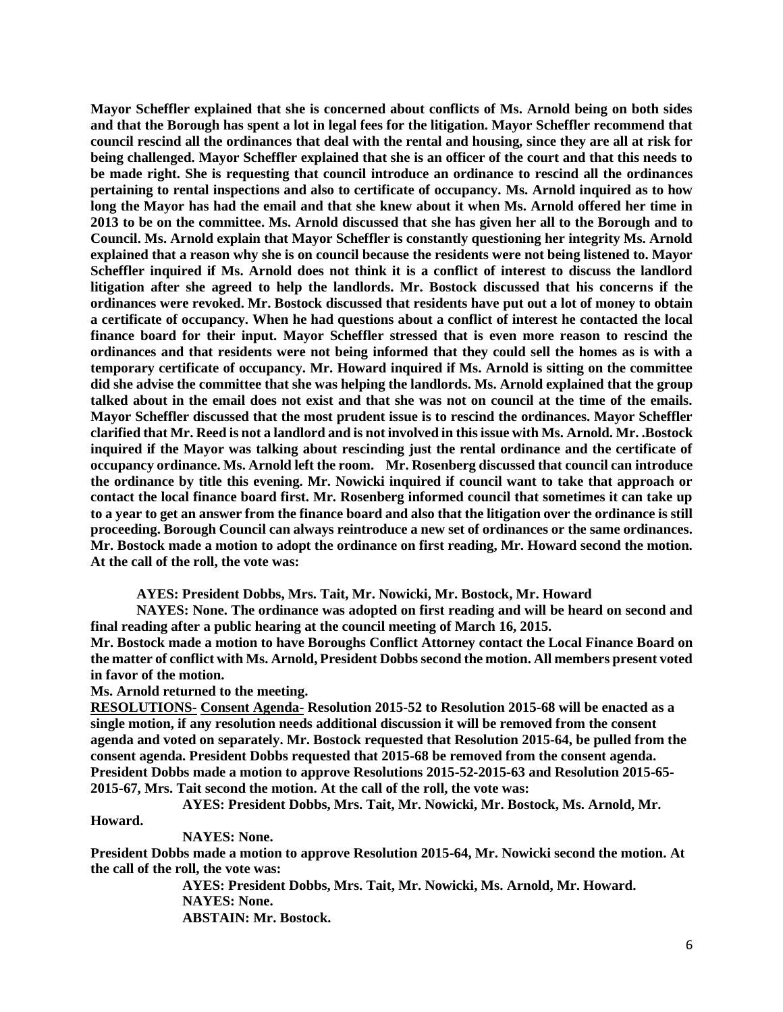**Mayor Scheffler explained that she is concerned about conflicts of Ms. Arnold being on both sides and that the Borough has spent a lot in legal fees for the litigation. Mayor Scheffler recommend that council rescind all the ordinances that deal with the rental and housing, since they are all at risk for being challenged. Mayor Scheffler explained that she is an officer of the court and that this needs to be made right. She is requesting that council introduce an ordinance to rescind all the ordinances pertaining to rental inspections and also to certificate of occupancy. Ms. Arnold inquired as to how long the Mayor has had the email and that she knew about it when Ms. Arnold offered her time in 2013 to be on the committee. Ms. Arnold discussed that she has given her all to the Borough and to Council. Ms. Arnold explain that Mayor Scheffler is constantly questioning her integrity Ms. Arnold explained that a reason why she is on council because the residents were not being listened to. Mayor Scheffler inquired if Ms. Arnold does not think it is a conflict of interest to discuss the landlord litigation after she agreed to help the landlords. Mr. Bostock discussed that his concerns if the ordinances were revoked. Mr. Bostock discussed that residents have put out a lot of money to obtain a certificate of occupancy. When he had questions about a conflict of interest he contacted the local finance board for their input. Mayor Scheffler stressed that is even more reason to rescind the ordinances and that residents were not being informed that they could sell the homes as is with a temporary certificate of occupancy. Mr. Howard inquired if Ms. Arnold is sitting on the committee did she advise the committee that she was helping the landlords. Ms. Arnold explained that the group talked about in the email does not exist and that she was not on council at the time of the emails. Mayor Scheffler discussed that the most prudent issue is to rescind the ordinances. Mayor Scheffler clarified that Mr. Reed is not a landlord and is not involved in this issue with Ms. Arnold. Mr. .Bostock inquired if the Mayor was talking about rescinding just the rental ordinance and the certificate of occupancy ordinance. Ms. Arnold left the room. Mr. Rosenberg discussed that council can introduce the ordinance by title this evening. Mr. Nowicki inquired if council want to take that approach or contact the local finance board first. Mr. Rosenberg informed council that sometimes it can take up to a year to get an answer from the finance board and also that the litigation over the ordinance is still proceeding. Borough Council can always reintroduce a new set of ordinances or the same ordinances. Mr. Bostock made a motion to adopt the ordinance on first reading, Mr. Howard second the motion. At the call of the roll, the vote was:**

**AYES: President Dobbs, Mrs. Tait, Mr. Nowicki, Mr. Bostock, Mr. Howard**

**NAYES: None. The ordinance was adopted on first reading and will be heard on second and final reading after a public hearing at the council meeting of March 16, 2015.** 

**Mr. Bostock made a motion to have Boroughs Conflict Attorney contact the Local Finance Board on the matter of conflict with Ms. Arnold, President Dobbs second the motion. All members present voted in favor of the motion.** 

**Ms. Arnold returned to the meeting.** 

**RESOLUTIONS- Consent Agenda- Resolution 2015-52 to Resolution 2015-68 will be enacted as a single motion, if any resolution needs additional discussion it will be removed from the consent agenda and voted on separately. Mr. Bostock requested that Resolution 2015-64, be pulled from the consent agenda. President Dobbs requested that 2015-68 be removed from the consent agenda. President Dobbs made a motion to approve Resolutions 2015-52-2015-63 and Resolution 2015-65- 2015-67, Mrs. Tait second the motion. At the call of the roll, the vote was:**

**AYES: President Dobbs, Mrs. Tait, Mr. Nowicki, Mr. Bostock, Ms. Arnold, Mr.** 

**Howard.**

**NAYES: None.** 

**President Dobbs made a motion to approve Resolution 2015-64, Mr. Nowicki second the motion. At the call of the roll, the vote was:**

> **AYES: President Dobbs, Mrs. Tait, Mr. Nowicki, Ms. Arnold, Mr. Howard. NAYES: None. ABSTAIN: Mr. Bostock.**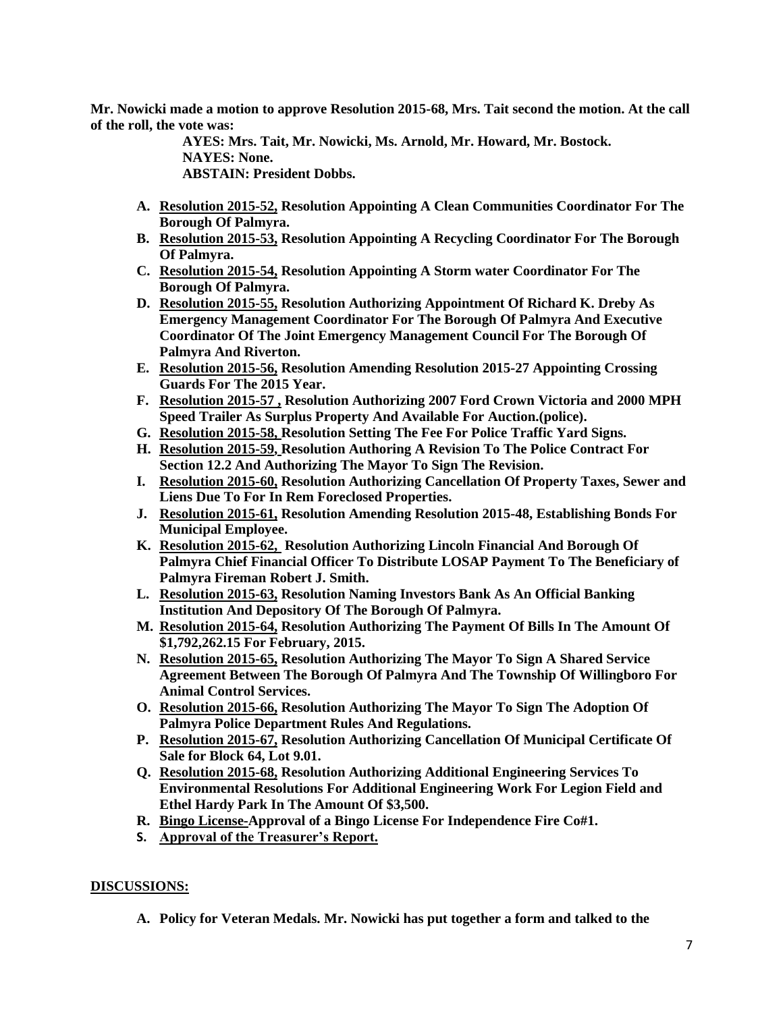**Mr. Nowicki made a motion to approve Resolution 2015-68, Mrs. Tait second the motion. At the call of the roll, the vote was:**

**AYES: Mrs. Tait, Mr. Nowicki, Ms. Arnold, Mr. Howard, Mr. Bostock. NAYES: None. ABSTAIN: President Dobbs.** 

- **A. Resolution 2015-52, Resolution Appointing A Clean Communities Coordinator For The Borough Of Palmyra.**
- **B. Resolution 2015-53, Resolution Appointing A Recycling Coordinator For The Borough Of Palmyra.**
- **C. Resolution 2015-54, Resolution Appointing A Storm water Coordinator For The Borough Of Palmyra.**
- **D. Resolution 2015-55, Resolution Authorizing Appointment Of Richard K. Dreby As Emergency Management Coordinator For The Borough Of Palmyra And Executive Coordinator Of The Joint Emergency Management Council For The Borough Of Palmyra And Riverton.**
- **E. Resolution 2015-56, Resolution Amending Resolution 2015-27 Appointing Crossing Guards For The 2015 Year.**
- **F. Resolution 2015-57 , Resolution Authorizing 2007 Ford Crown Victoria and 2000 MPH Speed Trailer As Surplus Property And Available For Auction.(police).**
- **G. Resolution 2015-58, Resolution Setting The Fee For Police Traffic Yard Signs.**
- **H. Resolution 2015-59, Resolution Authoring A Revision To The Police Contract For Section 12.2 And Authorizing The Mayor To Sign The Revision.**
- **I. Resolution 2015-60, Resolution Authorizing Cancellation Of Property Taxes, Sewer and Liens Due To For In Rem Foreclosed Properties.**
- **J. Resolution 2015-61, Resolution Amending Resolution 2015-48, Establishing Bonds For Municipal Employee.**
- **K. Resolution 2015-62, Resolution Authorizing Lincoln Financial And Borough Of Palmyra Chief Financial Officer To Distribute LOSAP Payment To The Beneficiary of Palmyra Fireman Robert J. Smith.**
- **L. Resolution 2015-63, Resolution Naming Investors Bank As An Official Banking Institution And Depository Of The Borough Of Palmyra.**
- **M. Resolution 2015-64, Resolution Authorizing The Payment Of Bills In The Amount Of \$1,792,262.15 For February, 2015.**
- **N. Resolution 2015-65, Resolution Authorizing The Mayor To Sign A Shared Service Agreement Between The Borough Of Palmyra And The Township Of Willingboro For Animal Control Services.**
- **O. Resolution 2015-66, Resolution Authorizing The Mayor To Sign The Adoption Of Palmyra Police Department Rules And Regulations.**
- **P. Resolution 2015-67, Resolution Authorizing Cancellation Of Municipal Certificate Of Sale for Block 64, Lot 9.01.**
- **Q. Resolution 2015-68, Resolution Authorizing Additional Engineering Services To Environmental Resolutions For Additional Engineering Work For Legion Field and Ethel Hardy Park In The Amount Of \$3,500.**
- **R. Bingo License-Approval of a Bingo License For Independence Fire Co#1.**
- **S. Approval of the Treasurer's Report.**

## **DISCUSSIONS:**

**A. Policy for Veteran Medals. Mr. Nowicki has put together a form and talked to the**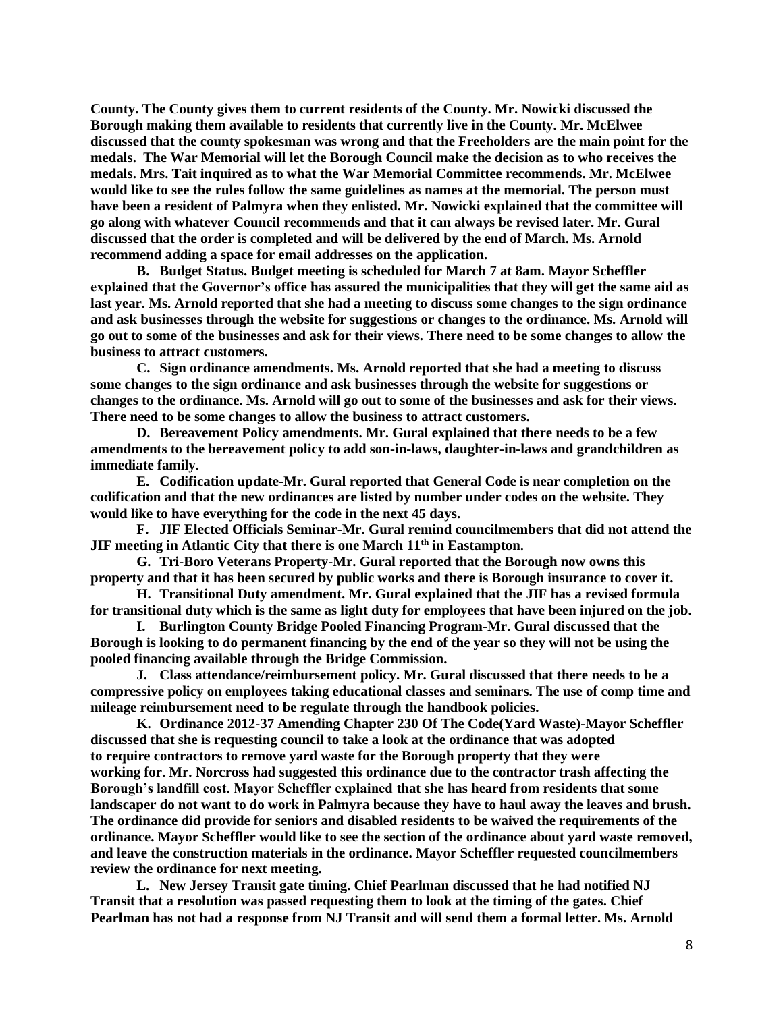**County. The County gives them to current residents of the County. Mr. Nowicki discussed the Borough making them available to residents that currently live in the County. Mr. McElwee discussed that the county spokesman was wrong and that the Freeholders are the main point for the medals. The War Memorial will let the Borough Council make the decision as to who receives the medals. Mrs. Tait inquired as to what the War Memorial Committee recommends. Mr. McElwee would like to see the rules follow the same guidelines as names at the memorial. The person must have been a resident of Palmyra when they enlisted. Mr. Nowicki explained that the committee will go along with whatever Council recommends and that it can always be revised later. Mr. Gural discussed that the order is completed and will be delivered by the end of March. Ms. Arnold recommend adding a space for email addresses on the application.** 

**B. Budget Status. Budget meeting is scheduled for March 7 at 8am. Mayor Scheffler explained that the Governor's office has assured the municipalities that they will get the same aid as last year. Ms. Arnold reported that she had a meeting to discuss some changes to the sign ordinance and ask businesses through the website for suggestions or changes to the ordinance. Ms. Arnold will go out to some of the businesses and ask for their views. There need to be some changes to allow the business to attract customers.** 

**C. Sign ordinance amendments. Ms. Arnold reported that she had a meeting to discuss some changes to the sign ordinance and ask businesses through the website for suggestions or changes to the ordinance. Ms. Arnold will go out to some of the businesses and ask for their views. There need to be some changes to allow the business to attract customers.** 

**D. Bereavement Policy amendments. Mr. Gural explained that there needs to be a few amendments to the bereavement policy to add son-in-laws, daughter-in-laws and grandchildren as immediate family.** 

**E. Codification update-Mr. Gural reported that General Code is near completion on the codification and that the new ordinances are listed by number under codes on the website. They would like to have everything for the code in the next 45 days.**

**F. JIF Elected Officials Seminar-Mr. Gural remind councilmembers that did not attend the JIF meeting in Atlantic City that there is one March 11th in Eastampton.**

**G. Tri-Boro Veterans Property-Mr. Gural reported that the Borough now owns this property and that it has been secured by public works and there is Borough insurance to cover it.** 

**H. Transitional Duty amendment. Mr. Gural explained that the JIF has a revised formula for transitional duty which is the same as light duty for employees that have been injured on the job.** 

**I. Burlington County Bridge Pooled Financing Program-Mr. Gural discussed that the Borough is looking to do permanent financing by the end of the year so they will not be using the pooled financing available through the Bridge Commission.** 

**J. Class attendance/reimbursement policy. Mr. Gural discussed that there needs to be a compressive policy on employees taking educational classes and seminars. The use of comp time and mileage reimbursement need to be regulate through the handbook policies.** 

**K. Ordinance 2012-37 Amending Chapter 230 Of The Code(Yard Waste)-Mayor Scheffler discussed that she is requesting council to take a look at the ordinance that was adopted to require contractors to remove yard waste for the Borough property that they were working for. Mr. Norcross had suggested this ordinance due to the contractor trash affecting the Borough's landfill cost. Mayor Scheffler explained that she has heard from residents that some landscaper do not want to do work in Palmyra because they have to haul away the leaves and brush. The ordinance did provide for seniors and disabled residents to be waived the requirements of the ordinance. Mayor Scheffler would like to see the section of the ordinance about yard waste removed, and leave the construction materials in the ordinance. Mayor Scheffler requested councilmembers review the ordinance for next meeting.** 

**L. New Jersey Transit gate timing. Chief Pearlman discussed that he had notified NJ Transit that a resolution was passed requesting them to look at the timing of the gates. Chief Pearlman has not had a response from NJ Transit and will send them a formal letter. Ms. Arnold**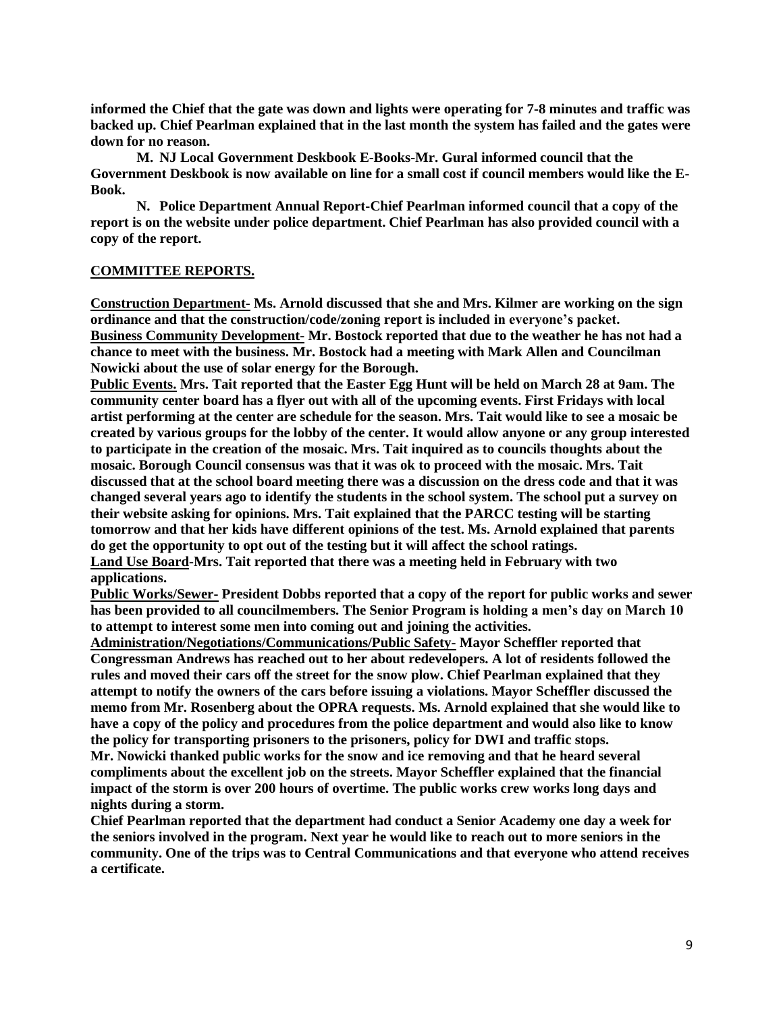**informed the Chief that the gate was down and lights were operating for 7-8 minutes and traffic was backed up. Chief Pearlman explained that in the last month the system has failed and the gates were down for no reason.** 

**M. NJ Local Government Deskbook E-Books-Mr. Gural informed council that the Government Deskbook is now available on line for a small cost if council members would like the E-Book.**

**N. Police Department Annual Report-Chief Pearlman informed council that a copy of the report is on the website under police department. Chief Pearlman has also provided council with a copy of the report.** 

#### **COMMITTEE REPORTS.**

**Construction Department- Ms. Arnold discussed that she and Mrs. Kilmer are working on the sign ordinance and that the construction/code/zoning report is included in everyone's packet. Business Community Development- Mr. Bostock reported that due to the weather he has not had a chance to meet with the business. Mr. Bostock had a meeting with Mark Allen and Councilman Nowicki about the use of solar energy for the Borough.** 

**Public Events. Mrs. Tait reported that the Easter Egg Hunt will be held on March 28 at 9am. The community center board has a flyer out with all of the upcoming events. First Fridays with local artist performing at the center are schedule for the season. Mrs. Tait would like to see a mosaic be created by various groups for the lobby of the center. It would allow anyone or any group interested to participate in the creation of the mosaic. Mrs. Tait inquired as to councils thoughts about the mosaic. Borough Council consensus was that it was ok to proceed with the mosaic. Mrs. Tait discussed that at the school board meeting there was a discussion on the dress code and that it was changed several years ago to identify the students in the school system. The school put a survey on their website asking for opinions. Mrs. Tait explained that the PARCC testing will be starting tomorrow and that her kids have different opinions of the test. Ms. Arnold explained that parents do get the opportunity to opt out of the testing but it will affect the school ratings. Land Use Board-Mrs. Tait reported that there was a meeting held in February with two** 

**applications.** 

**Public Works/Sewer- President Dobbs reported that a copy of the report for public works and sewer has been provided to all councilmembers. The Senior Program is holding a men's day on March 10 to attempt to interest some men into coming out and joining the activities.** 

**Administration/Negotiations/Communications/Public Safety- Mayor Scheffler reported that Congressman Andrews has reached out to her about redevelopers. A lot of residents followed the rules and moved their cars off the street for the snow plow. Chief Pearlman explained that they attempt to notify the owners of the cars before issuing a violations. Mayor Scheffler discussed the memo from Mr. Rosenberg about the OPRA requests. Ms. Arnold explained that she would like to have a copy of the policy and procedures from the police department and would also like to know the policy for transporting prisoners to the prisoners, policy for DWI and traffic stops.**

**Mr. Nowicki thanked public works for the snow and ice removing and that he heard several compliments about the excellent job on the streets. Mayor Scheffler explained that the financial impact of the storm is over 200 hours of overtime. The public works crew works long days and nights during a storm.** 

**Chief Pearlman reported that the department had conduct a Senior Academy one day a week for the seniors involved in the program. Next year he would like to reach out to more seniors in the community. One of the trips was to Central Communications and that everyone who attend receives a certificate.**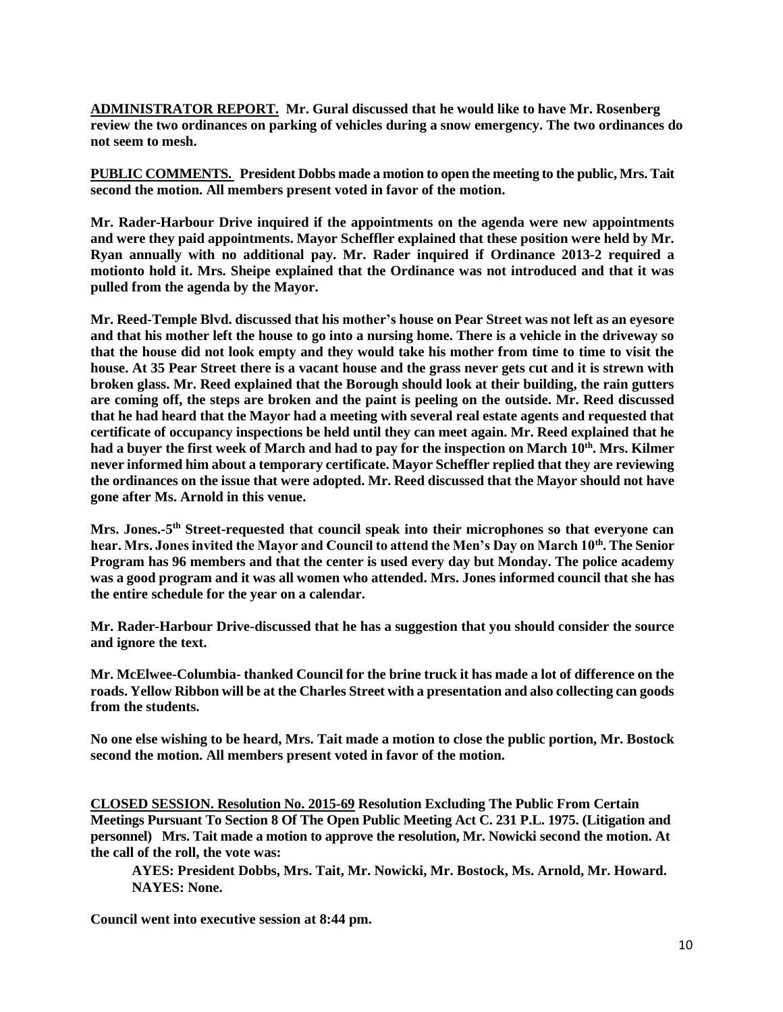**ADMINISTRATOR REPORT. Mr. Gural discussed that he would like to have Mr. Rosenberg review the two ordinances on parking of vehicles during a snow emergency. The two ordinances do not seem to mesh.** 

**PUBLIC COMMENTS. President Dobbs made a motion to open the meeting to the public, Mrs. Tait second the motion. All members present voted in favor of the motion.**

**Mr. Rader-Harbour Drive inquired if the appointments on the agenda were new appointments and were they paid appointments. Mayor Scheffler explained that these position were held by Mr. Ryan annually with no additional pay. Mr. Rader inquired if Ordinance 2013-2 required a motionto hold it. Mrs. Sheipe explained that the Ordinance was not introduced and that it was pulled from the agenda by the Mayor.** 

**Mr. Reed-Temple Blvd. discussed that his mother's house on Pear Street was not left as an eyesore and that his mother left the house to go into a nursing home. There is a vehicle in the driveway so that the house did not look empty and they would take his mother from time to time to visit the house. At 35 Pear Street there is a vacant house and the grass never gets cut and it is strewn with broken glass. Mr. Reed explained that the Borough should look at their building, the rain gutters are coming off, the steps are broken and the paint is peeling on the outside. Mr. Reed discussed that he had heard that the Mayor had a meeting with several real estate agents and requested that certificate of occupancy inspections be held until they can meet again. Mr. Reed explained that he had a buyer the first week of March and had to pay for the inspection on March 10th. Mrs. Kilmer never informed him about a temporary certificate. Mayor Scheffler replied that they are reviewing the ordinances on the issue that were adopted. Mr. Reed discussed that the Mayor should not have gone after Ms. Arnold in this venue.** 

Mrs. Jones.-5<sup>th</sup> Street-requested that council speak into their microphones so that everyone can **hear. Mrs. Jones invited the Mayor and Council to attend the Men's Day on March 10th. The Senior Program has 96 members and that the center is used every day but Monday. The police academy was a good program and it was all women who attended. Mrs. Jones informed council that she has the entire schedule for the year on a calendar.** 

**Mr. Rader-Harbour Drive-discussed that he has a suggestion that you should consider the source and ignore the text.** 

**Mr. McElwee-Columbia- thanked Council for the brine truck it has made a lot of difference on the roads. Yellow Ribbon will be at the Charles Street with a presentation and also collecting can goods from the students.** 

**No one else wishing to be heard, Mrs. Tait made a motion to close the public portion, Mr. Bostock second the motion. All members present voted in favor of the motion.** 

**CLOSED SESSION. Resolution No. 2015-69 Resolution Excluding The Public From Certain Meetings Pursuant To Section 8 Of The Open Public Meeting Act C. 231 P.L. 1975. (Litigation and personnel) Mrs. Tait made a motion to approve the resolution, Mr. Nowicki second the motion. At the call of the roll, the vote was:**

**AYES: President Dobbs, Mrs. Tait, Mr. Nowicki, Mr. Bostock, Ms. Arnold, Mr. Howard. NAYES: None.**

**Council went into executive session at 8:44 pm.**